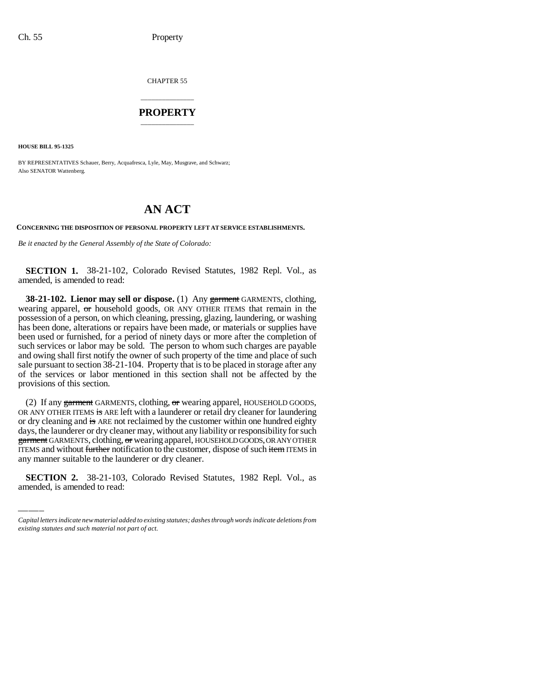CHAPTER 55

## \_\_\_\_\_\_\_\_\_\_\_\_\_\_\_ **PROPERTY** \_\_\_\_\_\_\_\_\_\_\_\_\_\_\_

**HOUSE BILL 95-1325**

BY REPRESENTATIVES Schauer, Berry, Acquafresca, Lyle, May, Musgrave, and Schwarz; Also SENATOR Wattenberg.

## **AN ACT**

**CONCERNING THE DISPOSITION OF PERSONAL PROPERTY LEFT AT SERVICE ESTABLISHMENTS.**

*Be it enacted by the General Assembly of the State of Colorado:*

**SECTION 1.** 38-21-102, Colorado Revised Statutes, 1982 Repl. Vol., as amended, is amended to read:

**38-21-102. Lienor may sell or dispose.** (1) Any garment GARMENTS, clothing, wearing apparel, or household goods, OR ANY OTHER ITEMS that remain in the possession of a person, on which cleaning, pressing, glazing, laundering, or washing has been done, alterations or repairs have been made, or materials or supplies have been used or furnished, for a period of ninety days or more after the completion of such services or labor may be sold. The person to whom such charges are payable and owing shall first notify the owner of such property of the time and place of such sale pursuant to section 38-21-104. Property that is to be placed in storage after any of the services or labor mentioned in this section shall not be affected by the provisions of this section.

garment GARMENTS, clouding, or wearing apparer, modsellocodoles, or ANT OTHER<br>ITEMS and without <del>further</del> notification to the customer, dispose of such item ITEMS in (2) If any garment GARMENTS, clothing,  $\sigma r$  wearing apparel, HOUSEHOLD GOODS, OR ANY OTHER ITEMS is ARE left with a launderer or retail dry cleaner for laundering or dry cleaning and is ARE not reclaimed by the customer within one hundred eighty days, the launderer or dry cleaner may, without any liability or responsibility for such garment GARMENTS, clothing, or wearing apparel, HOUSEHOLD GOODS, OR ANY OTHER any manner suitable to the launderer or dry cleaner.

**SECTION 2.** 38-21-103, Colorado Revised Statutes, 1982 Repl. Vol., as amended, is amended to read:

*Capital letters indicate new material added to existing statutes; dashes through words indicate deletions from existing statutes and such material not part of act.*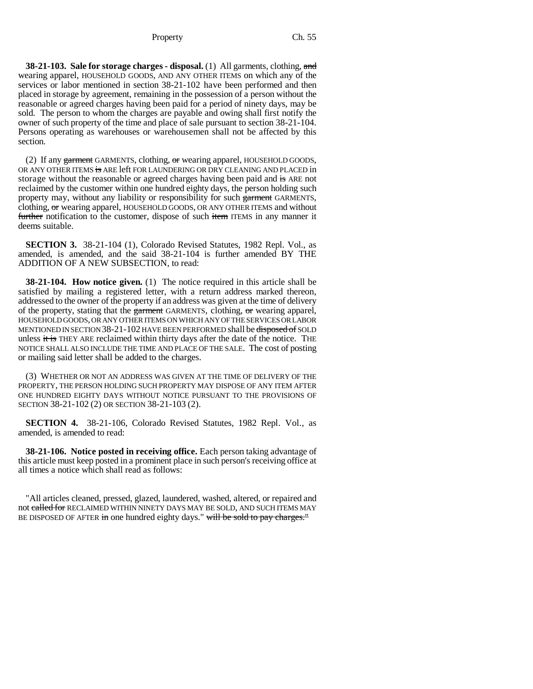## Property Ch. 55

**38-21-103. Sale for storage charges - disposal.** (1) All garments, clothing, and wearing apparel, HOUSEHOLD GOODS, AND ANY OTHER ITEMS on which any of the services or labor mentioned in section 38-21-102 have been performed and then placed in storage by agreement, remaining in the possession of a person without the reasonable or agreed charges having been paid for a period of ninety days, may be sold. The person to whom the charges are payable and owing shall first notify the owner of such property of the time and place of sale pursuant to section 38-21-104. Persons operating as warehouses or warehousemen shall not be affected by this section.

(2) If any  $\frac{1}{2}$  arment GARMENTS, clothing,  $\frac{1}{2}$  wearing apparel, HOUSEHOLD GOODS, OR ANY OTHER ITEMS is ARE left FOR LAUNDERING OR DRY CLEANING AND PLACED in storage without the reasonable or agreed charges having been paid and is ARE not reclaimed by the customer within one hundred eighty days, the person holding such property may, without any liability or responsibility for such garment GARMENTS, clothing, or wearing apparel, HOUSEHOLD GOODS, OR ANY OTHER ITEMS and without further notification to the customer, dispose of such item ITEMS in any manner it deems suitable.

**SECTION 3.** 38-21-104 (1), Colorado Revised Statutes, 1982 Repl. Vol., as amended, is amended, and the said 38-21-104 is further amended BY THE ADDITION OF A NEW SUBSECTION, to read:

**38-21-104. How notice given.** (1) The notice required in this article shall be satisfied by mailing a registered letter, with a return address marked thereon, addressed to the owner of the property if an address was given at the time of delivery of the property, stating that the  $g$ arment GARMENTS, clothing,  $\sigma$ r wearing apparel, HOUSEHOLD GOODS, OR ANY OTHER ITEMS ON WHICH ANY OF THE SERVICES OR LABOR MENTIONED IN SECTION 38-21-102 HAVE BEEN PERFORMED shall be disposed of SOLD unless it is THEY ARE reclaimed within thirty days after the date of the notice. THE NOTICE SHALL ALSO INCLUDE THE TIME AND PLACE OF THE SALE. The cost of posting or mailing said letter shall be added to the charges.

(3) WHETHER OR NOT AN ADDRESS WAS GIVEN AT THE TIME OF DELIVERY OF THE PROPERTY, THE PERSON HOLDING SUCH PROPERTY MAY DISPOSE OF ANY ITEM AFTER ONE HUNDRED EIGHTY DAYS WITHOUT NOTICE PURSUANT TO THE PROVISIONS OF SECTION 38-21-102 (2) OR SECTION 38-21-103 (2).

**SECTION 4.** 38-21-106, Colorado Revised Statutes, 1982 Repl. Vol., as amended, is amended to read:

**38-21-106. Notice posted in receiving office.** Each person taking advantage of this article must keep posted in a prominent place in such person's receiving office at all times a notice which shall read as follows:

"All articles cleaned, pressed, glazed, laundered, washed, altered, or repaired and not called for RECLAIMED WITHIN NINETY DAYS MAY BE SOLD, AND SUCH ITEMS MAY BE DISPOSED OF AFTER in one hundred eighty days." will be sold to pay charges."